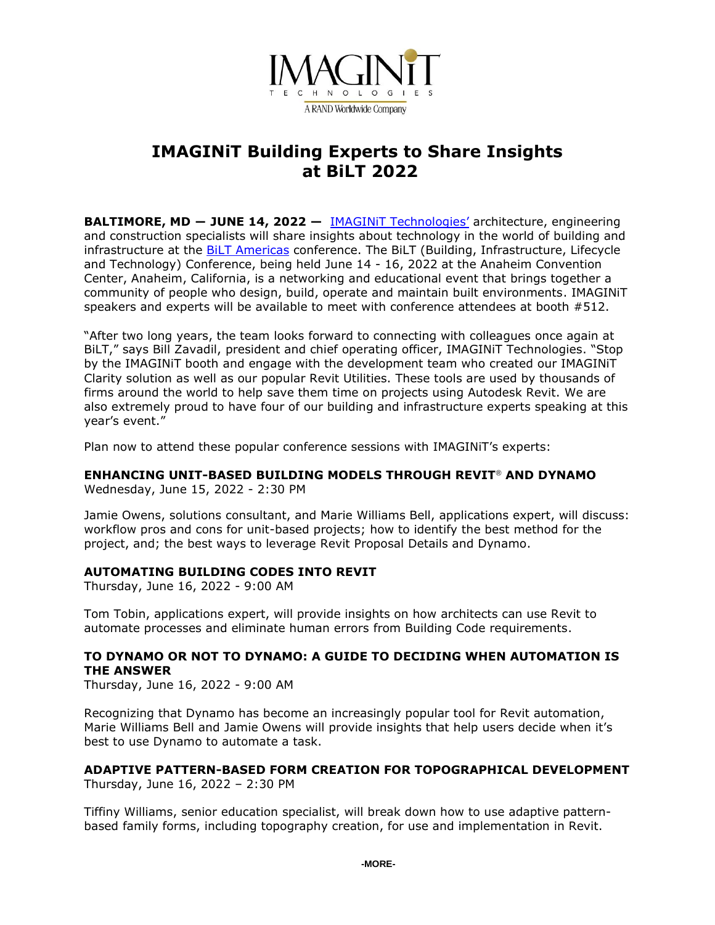

# **IMAGINiT Building Experts to Share Insights at BiLT 2022**

**BALTIMORE, MD ― JUNE 14, 2022 —** [IMAGINiT Technologies](http://www.imaginit.com/?utm_source=dynamic&utm_medium=press-release&utm_campaign=BiLT2022)' architecture, engineering and construction specialists will share insights about technology in the world of building and infrastructure at the **BiLT Americas conference.** The BiLT (Building, Infrastructure, Lifecycle and Technology) Conference, being held June 14 - 16, 2022 at the Anaheim Convention Center, Anaheim, California, is a networking and educational event that brings together a community of people who design, build, operate and maintain built environments. IMAGINiT speakers and experts will be available to meet with conference attendees at booth #512.

"After two long years, the team looks forward to connecting with colleagues once again at BiLT," says Bill Zavadil, president and chief operating officer, IMAGINiT Technologies. "Stop by the IMAGINiT booth and engage with the development team who created our IMAGINiT Clarity solution as well as our popular Revit Utilities. These tools are used by thousands of firms around the world to help save them time on projects using Autodesk Revit. We are also extremely proud to have four of our building and infrastructure experts speaking at this year's event."

Plan now to attend these popular conference sessions with IMAGINiT's experts:

# **ENHANCING UNIT-BASED BUILDING MODELS THROUGH REVIT**® **AND DYNAMO**

Wednesday, June 15, 2022 - 2:30 PM

Jamie Owens, solutions consultant, and Marie Williams Bell, applications expert, will discuss: workflow pros and cons for unit-based projects; how to identify the best method for the project, and; the best ways to leverage Revit Proposal Details and Dynamo.

## **AUTOMATING BUILDING CODES INTO REVIT**

Thursday, June 16, 2022 - 9:00 AM

Tom Tobin, applications expert, will provide insights on how architects can use Revit to automate processes and eliminate human errors from Building Code requirements.

## **TO DYNAMO OR NOT TO DYNAMO: A GUIDE TO DECIDING WHEN AUTOMATION IS THE ANSWER**

Thursday, June 16, 2022 - 9:00 AM

Recognizing that Dynamo has become an increasingly popular tool for Revit automation, Marie Williams Bell and Jamie Owens will provide insights that help users decide when it's best to use Dynamo to automate a task.

#### **ADAPTIVE PATTERN-BASED FORM CREATION FOR TOPOGRAPHICAL DEVELOPMENT** Thursday, June 16, 2022 – 2:30 PM

Tiffiny Williams, senior education specialist, will break down how to use adaptive patternbased family forms, including topography creation, for use and implementation in Revit.